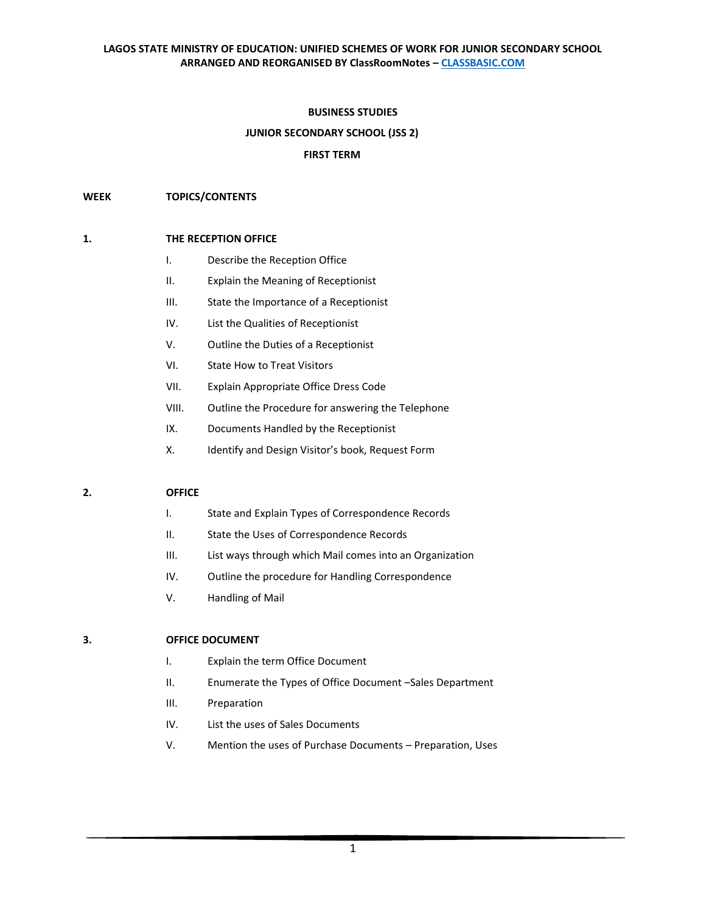#### **BUSINESS STUDIES**

### **JUNIOR SECONDARY SCHOOL (JSS 2)**

#### **FIRST TERM**

#### **WEEK TOPICS/CONTENTS**

#### **1. THE RECEPTION OFFICE**

- I. Describe the Reception Office
- II. Explain the Meaning of Receptionist
- III. State the Importance of a Receptionist
- IV. List the Qualities of Receptionist
- V. Outline the Duties of a Receptionist
- VI. State How to Treat Visitors
- VII. Explain Appropriate Office Dress Code
- VIII. Outline the Procedure for answering the Telephone
- IX. Documents Handled by the Receptionist
- X. Identify and Design Visitor's book, Request Form

#### **2. OFFICE**

- I. State and Explain Types of Correspondence Records
- II. State the Uses of Correspondence Records
- III. List ways through which Mail comes into an Organization
- IV. Outline the procedure for Handling Correspondence
- V. Handling of Mail

# **3. OFFICE DOCUMENT**

- I. Explain the term Office Document
- II. Enumerate the Types of Office Document –Sales Department
- III. Preparation
- IV. List the uses of Sales Documents
- V. Mention the uses of Purchase Documents Preparation, Uses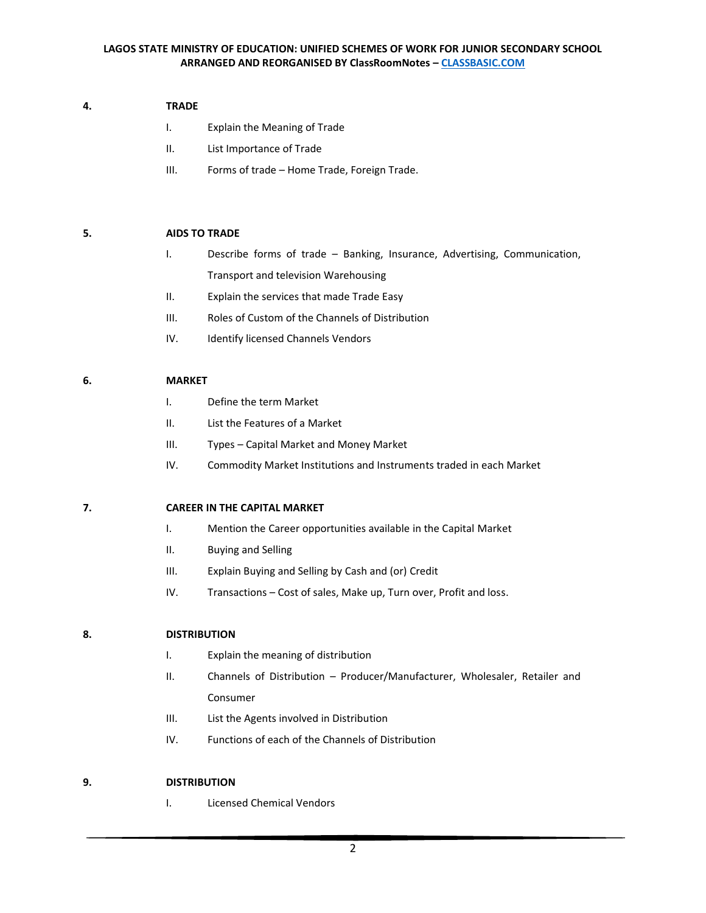## **4. TRADE**

- I. Explain the Meaning of Trade
- II. List Importance of Trade
- III. Forms of trade Home Trade, Foreign Trade.

# **5. AIDS TO TRADE**

- I. Describe forms of trade Banking, Insurance, Advertising, Communication, Transport and television Warehousing
- II. Explain the services that made Trade Easy
- III. Roles of Custom of the Channels of Distribution
- IV. Identify licensed Channels Vendors

# **6. MARKET**

- I. Define the term Market
- II. List the Features of a Market
- III. Types Capital Market and Money Market
- IV. Commodity Market Institutions and Instruments traded in each Market

### **7. CAREER IN THE CAPITAL MARKET**

- I. Mention the Career opportunities available in the Capital Market
- II. Buying and Selling
- III. Explain Buying and Selling by Cash and (or) Credit
- IV. Transactions Cost of sales, Make up, Turn over, Profit and loss.

### **8. DISTRIBUTION**

- I. Explain the meaning of distribution
- II. Channels of Distribution Producer/Manufacturer, Wholesaler, Retailer and Consumer
- III. List the Agents involved in Distribution
- IV. Functions of each of the Channels of Distribution

### **9. DISTRIBUTION**

I. Licensed Chemical Vendors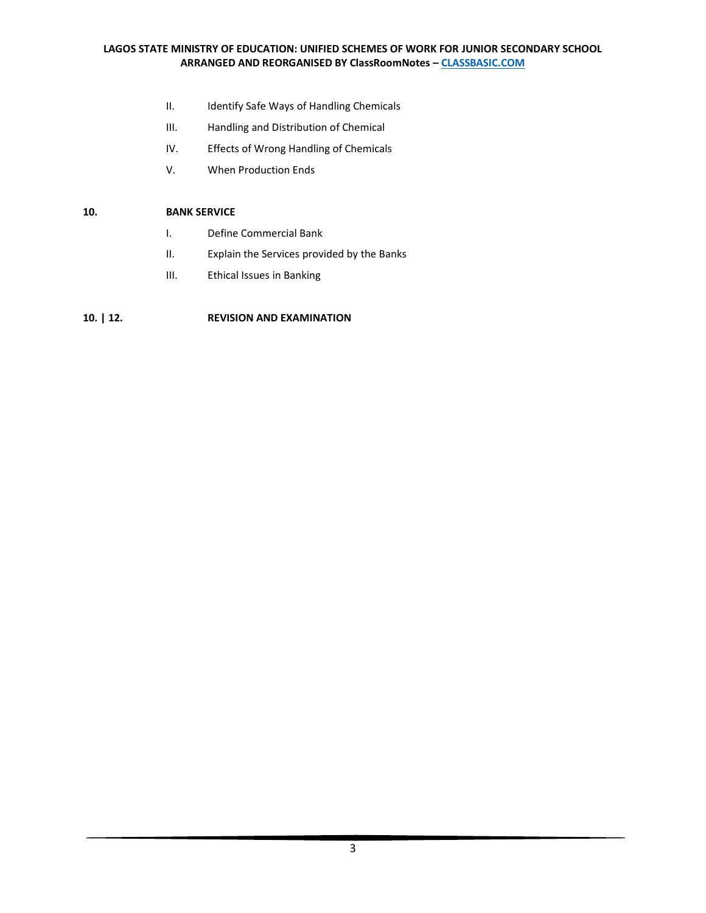- II. Identify Safe Ways of Handling Chemicals
- III. Handling and Distribution of Chemical
- IV. Effects of Wrong Handling of Chemicals
- V. When Production Ends

## **10. BANK SERVICE**

- I. Define Commercial Bank
- II. Explain the Services provided by the Banks
- III. Ethical Issues in Banking

# **10. | 12. REVISION AND EXAMINATION**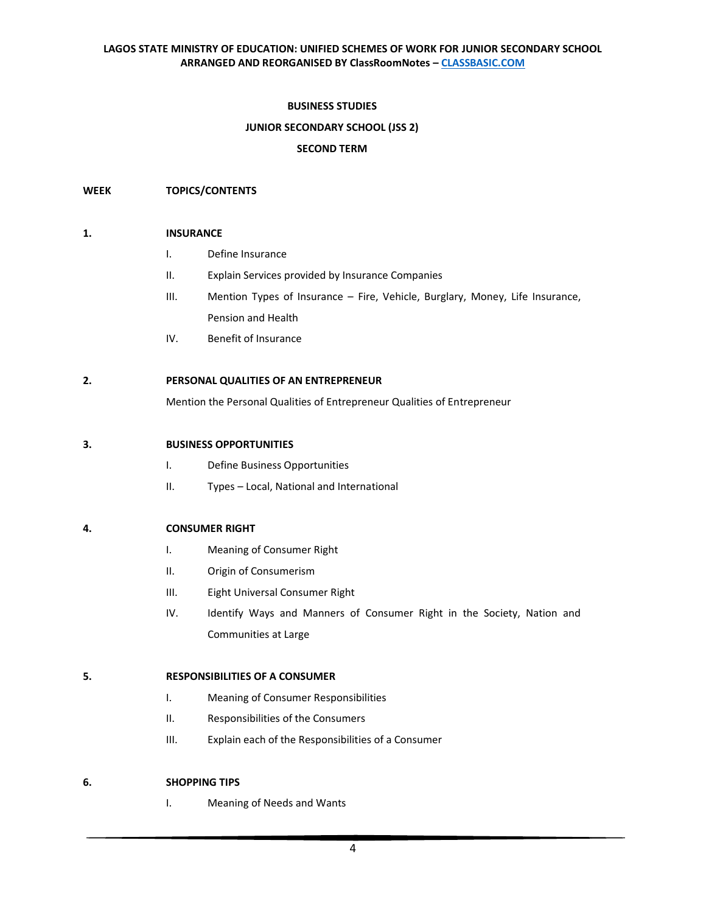## **BUSINESS STUDIES**

# **JUNIOR SECONDARY SCHOOL (JSS 2)**

#### **SECOND TERM**

#### **WEEK TOPICS/CONTENTS**

#### **1. INSURANCE**

- I. Define Insurance
- II. Explain Services provided by Insurance Companies
- III. Mention Types of Insurance Fire, Vehicle, Burglary, Money, Life Insurance, Pension and Health
- IV. Benefit of Insurance

## **2. PERSONAL QUALITIES OF AN ENTREPRENEUR**

Mention the Personal Qualities of Entrepreneur Qualities of Entrepreneur

#### **3. BUSINESS OPPORTUNITIES**

- I. Define Business Opportunities
- II. Types Local, National and International

### **4. CONSUMER RIGHT**

- I. Meaning of Consumer Right
- II. Origin of Consumerism
- III. Eight Universal Consumer Right
- IV. Identify Ways and Manners of Consumer Right in the Society, Nation and Communities at Large

#### **5. RESPONSIBILITIES OF A CONSUMER**

- I. Meaning of Consumer Responsibilities
- II. Responsibilities of the Consumers
- III. Explain each of the Responsibilities of a Consumer

### **6. SHOPPING TIPS**

I. Meaning of Needs and Wants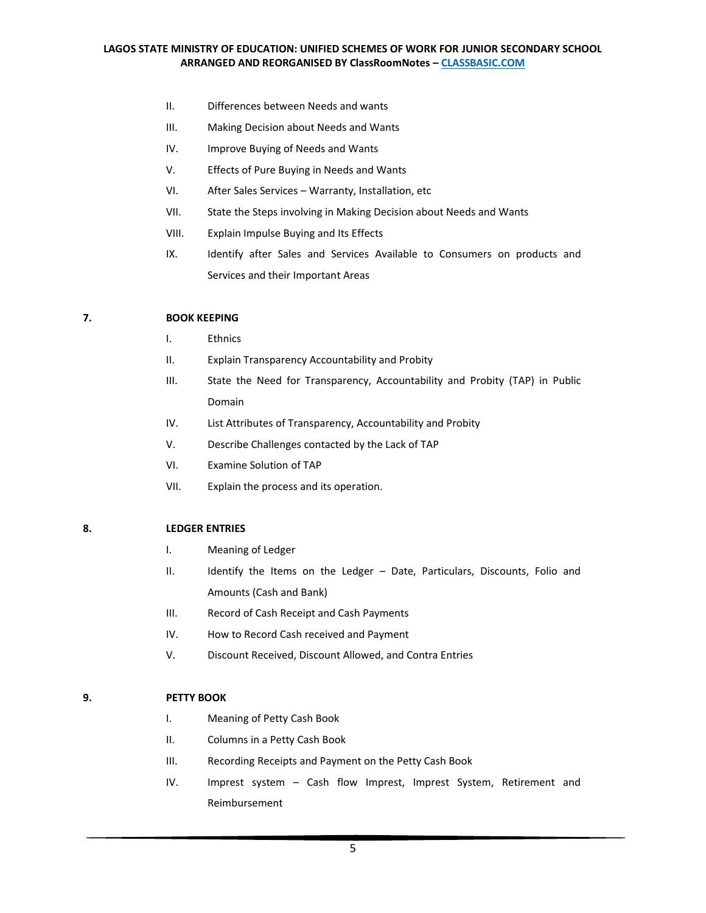- II. Differences between Needs and wants
- III. Making Decision about Needs and Wants
- IV. Improve Buying of Needs and Wants
- V. Effects of Pure Buying in Needs and Wants
- VI. After Sales Services Warranty, Installation, etc
- VII. State the Steps involving in Making Decision about Needs and Wants
- VIII. Explain Impulse Buying and Its Effects
- IX. Identify after Sales and Services Available to Consumers on products and Services and their Important Areas

#### **7. BOOK KEEPING**

- I. Ethnics
- II. Explain Transparency Accountability and Probity
- III. State the Need for Transparency, Accountability and Probity (TAP) in Public Domain
- IV. List Attributes of Transparency, Accountability and Probity
- V. Describe Challenges contacted by the Lack of TAP
- VI. Examine Solution of TAP
- VII. Explain the process and its operation.

#### **8. LEDGER ENTRIES**

- I. Meaning of Ledger
- II. Identify the Items on the Ledger Date, Particulars, Discounts, Folio and Amounts (Cash and Bank)
- III. Record of Cash Receipt and Cash Payments
- IV. How to Record Cash received and Payment
- V. Discount Received, Discount Allowed, and Contra Entries

## **9. PETTY BOOK**

- I. Meaning of Petty Cash Book
- II. Columns in a Petty Cash Book
- III. Recording Receipts and Payment on the Petty Cash Book
- IV. Imprest system Cash flow Imprest, Imprest System, Retirement and Reimbursement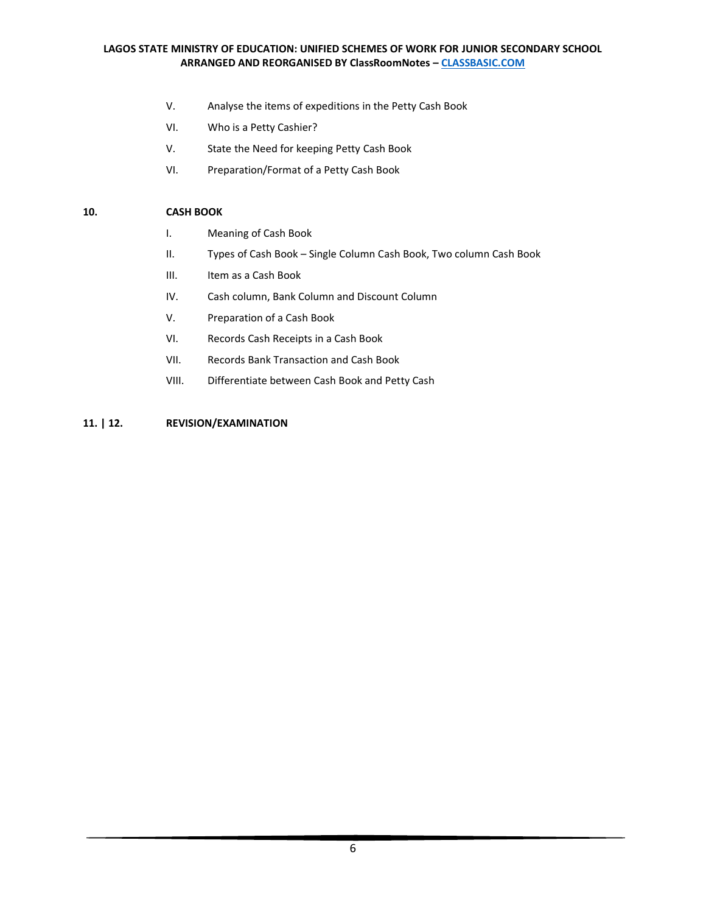- V. Analyse the items of expeditions in the Petty Cash Book
- VI. Who is a Petty Cashier?
- V. State the Need for keeping Petty Cash Book
- VI. Preparation/Format of a Petty Cash Book

## **10. CASH BOOK**

- I. Meaning of Cash Book
- II. Types of Cash Book Single Column Cash Book, Two column Cash Book
- III. Item as a Cash Book
- IV. Cash column, Bank Column and Discount Column
- V. Preparation of a Cash Book
- VI. Records Cash Receipts in a Cash Book
- VII. Records Bank Transaction and Cash Book
- VIII. Differentiate between Cash Book and Petty Cash

# **11. | 12. REVISION/EXAMINATION**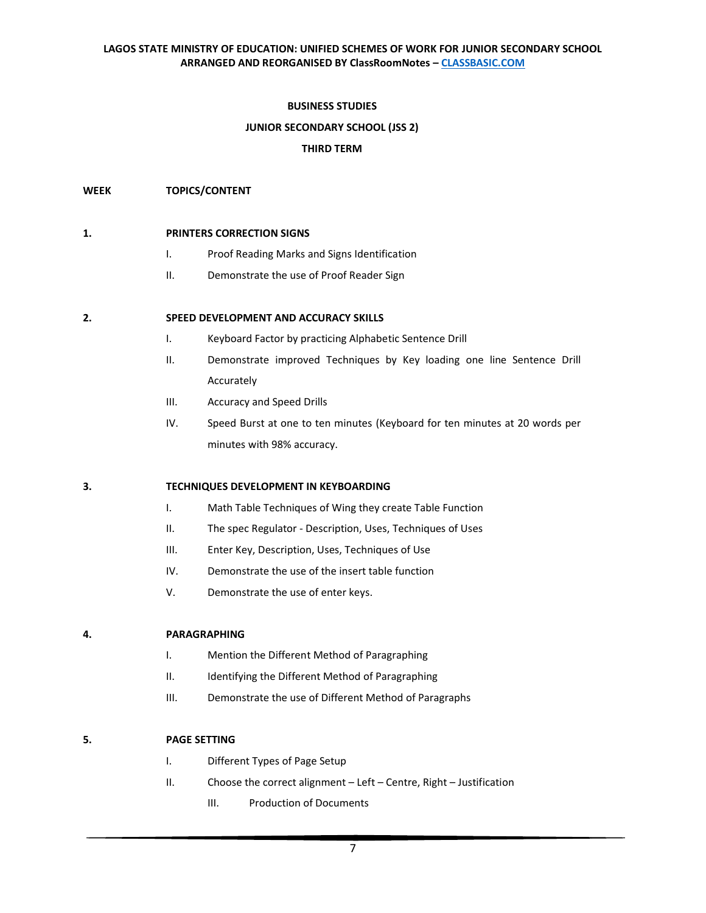## **BUSINESS STUDIES**

# **JUNIOR SECONDARY SCHOOL (JSS 2)**

### **THIRD TERM**

#### **WEEK TOPICS/CONTENT**

#### **1. PRINTERS CORRECTION SIGNS**

- I. Proof Reading Marks and Signs Identification
- II. Demonstrate the use of Proof Reader Sign

#### **2. SPEED DEVELOPMENT AND ACCURACY SKILLS**

- I. Keyboard Factor by practicing Alphabetic Sentence Drill
- II. Demonstrate improved Techniques by Key loading one line Sentence Drill Accurately
- III. Accuracy and Speed Drills
- IV. Speed Burst at one to ten minutes (Keyboard for ten minutes at 20 words per minutes with 98% accuracy.

### **3. TECHNIQUES DEVELOPMENT IN KEYBOARDING**

- I. Math Table Techniques of Wing they create Table Function
- II. The spec Regulator Description, Uses, Techniques of Uses
- III. Enter Key, Description, Uses, Techniques of Use
- IV. Demonstrate the use of the insert table function
- V. Demonstrate the use of enter keys.

#### **4. PARAGRAPHING**

- I. Mention the Different Method of Paragraphing
- II. Identifying the Different Method of Paragraphing
- III. Demonstrate the use of Different Method of Paragraphs

### **5. PAGE SETTING**

- I. Different Types of Page Setup
- II. Choose the correct alignment Left Centre, Right Justification
	- III. Production of Documents